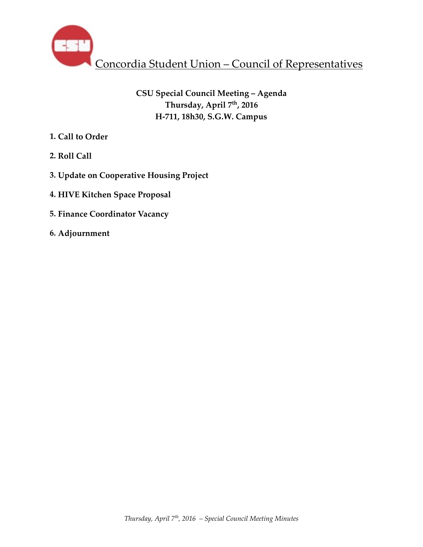

# **CSU Special Council Meeting – Agenda Thursday, April 7th, 2016 H-711, 18h30, S.G.W. Campus**

- **1. Call to Order**
- **2. Roll Call**
- **3. Update on Cooperative Housing Project**
- **4. HIVE Kitchen Space Proposal**
- **5. Finance Coordinator Vacancy**
- **6. Adjournment**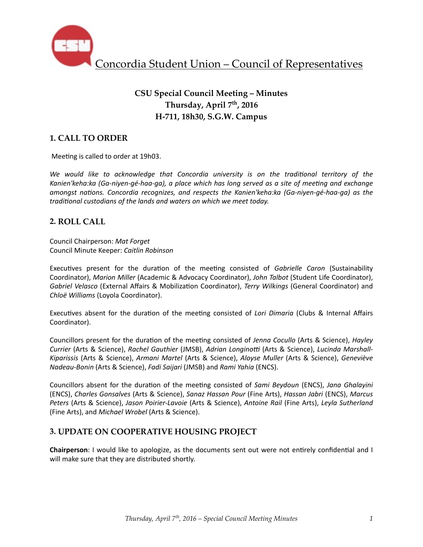

# **CSU Special Council Meeting – Minutes Thursday, April 7th, 2016 H-711, 18h30, S.G.W. Campus**

## **1. CALL TO ORDER**

Meeting is called to order at 19h03.

We would like to acknowledge that Concordia university is on the traditional territory of the Kanien'keha:ka (Ga-niyen-gé-haa-ga), a place which has long served as a site of meeting and exchange *amongst nations. Concordia recognizes, and respects the Kanien'keha:ka (Ga-niyen-gé-haa-ga)* as the *traditional custodians of the lands and waters on which we meet today.* 

### **2. ROLL CALL**

Council Chairperson: *Mat Forget* Council Minute Keeper: *Caitlin Robinson*

Executives present for the duration of the meeting consisted of *Gabrielle Caron* (Sustainability Coordinator), *Marion Miller* (Academic & Advocacy Coordinator), John Talbot (Student Life Coordinator), *Gabriel Velasco* (External Affairs & Mobilization Coordinator), *Terry Wilkings* (General Coordinator) and *Chloë Williams* (Loyola Coordinator). 

Executives absent for the duration of the meeting consisted of *Lori Dimaria* (Clubs & Internal Affairs Coordinator). 

Councillors present for the duration of the meeting consisted of *Jenna Cocullo* (Arts & Science), *Hayley Currier* (Arts & Science), Rachel Gauthier (JMSB), Adrian Longinotti (Arts & Science), Lucinda Marshall-Kiparissis (Arts & Science), *Armani Martel* (Arts & Science), *Aloyse Muller* (Arts & Science), *Geneviève Nadeau-Bonin* (Arts & Science), *Fadi Saijari* (JMSB) and *Rami Yahia* (ENCS).

Councillors absent for the duration of the meeting consisted of *Sami Beydoun* (ENCS), *Jana Ghalayini* (ENCS), *Charles Gonsalves* (Arts & Science), *Sanaz Hassan Pour* (Fine Arts), *Hassan Jabri* (ENCS), *Marcus Peters* (Arts & Science), *Jason Poirier-Lavoie* (Arts & Science), *Antoine Rail* (Fine Arts), *Leyla Sutherland* (Fine Arts), and *Michael Wrobel* (Arts & Science).

### **3. UPDATE ON COOPERATIVE HOUSING PROJECT**

Chairperson: I would like to apologize, as the documents sent out were not entirely confidential and I will make sure that they are distributed shortly.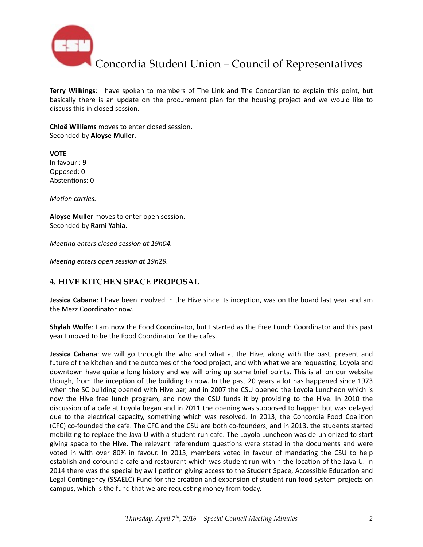

**Terry Wilkings**: I have spoken to members of The Link and The Concordian to explain this point, but basically there is an update on the procurement plan for the housing project and we would like to discuss this in closed session.

**Chloë Williams** moves to enter closed session. Seconded by **Aloyse Muller**. 

**VOTE** In favour : 9 Opposed: 0 Abstentions: 0

*Motion carries.* 

Aloyse Muller moves to enter open session. Seconded by **Rami Yahia**. 

*Meeting enters closed session at 19h04.* 

*Meeting enters open session at 19h29.* 

### **4. HIVE KITCHEN SPACE PROPOSAL**

**Jessica Cabana**: I have been involved in the Hive since its inception, was on the board last year and am the Mezz Coordinator now.

**Shylah Wolfe**: I am now the Food Coordinator, but I started as the Free Lunch Coordinator and this past year I moved to be the Food Coordinator for the cafes.

**Jessica Cabana**: we will go through the who and what at the Hive, along with the past, present and future of the kitchen and the outcomes of the food project, and with what we are requesting. Loyola and downtown have quite a long history and we will bring up some brief points. This is all on our website though, from the inception of the building to now. In the past 20 years a lot has happened since 1973 when the SC building opened with Hive bar, and in 2007 the CSU opened the Loyola Luncheon which is now the Hive free lunch program, and now the CSU funds it by providing to the Hive. In 2010 the discussion of a cafe at Loyola began and in 2011 the opening was supposed to happen but was delayed due to the electrical capacity, something which was resolved. In 2013, the Concordia Food Coalition (CFC) co-founded the cafe. The CFC and the CSU are both co-founders, and in 2013, the students started mobilizing to replace the Java U with a student-run cafe. The Loyola Luncheon was de-unionized to start giving space to the Hive. The relevant referendum questions were stated in the documents and were voted in with over 80% in favour. In 2013, members voted in favour of mandating the CSU to help establish and cofound a cafe and restaurant which was student-run within the location of the Java U. In 2014 there was the special bylaw I petition giving access to the Student Space, Accessible Education and Legal Contingency (SSAELC) Fund for the creation and expansion of student-run food system projects on campus, which is the fund that we are requesting money from today.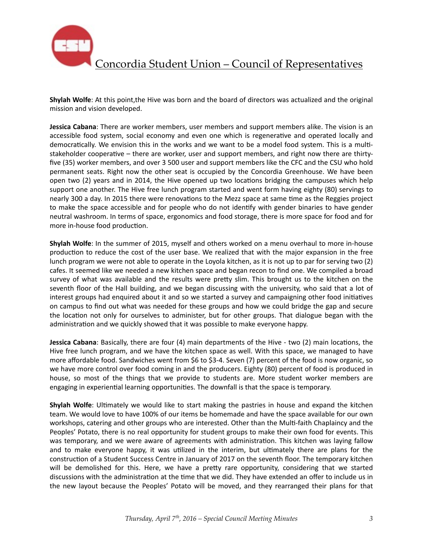

**Shylah Wolfe**: At this point,the Hive was born and the board of directors was actualized and the original mission and vision developed.

**Jessica Cabana**: There are worker members, user members and support members alike. The vision is an accessible food system, social economy and even one which is regenerative and operated locally and democratically. We envision this in the works and we want to be a model food system. This is a multistakeholder cooperative – there are worker, user and support members, and right now there are thirtyfive (35) worker members, and over 3 500 user and support members like the CFC and the CSU who hold permanent seats. Right now the other seat is occupied by the Concordia Greenhouse. We have been open two (2) years and in 2014, the Hive opened up two locations bridging the campuses which help support one another. The Hive free lunch program started and went form having eighty (80) servings to nearly 300 a day. In 2015 there were renovations to the Mezz space at same time as the Reggies project to make the space accessible and for people who do not identify with gender binaries to have gender neutral washroom. In terms of space, ergonomics and food storage, there is more space for food and for more in-house food production.

**Shylah Wolfe**: In the summer of 2015, myself and others worked on a menu overhaul to more in-house production to reduce the cost of the user base. We realized that with the major expansion in the free lunch program we were not able to operate in the Loyola kitchen, as it is not up to par for serving two (2) cafes. It seemed like we needed a new kitchen space and began recon to find one. We compiled a broad survey of what was available and the results were pretty slim. This brought us to the kitchen on the seventh floor of the Hall building, and we began discussing with the university, who said that a lot of interest groups had enquired about it and so we started a survey and campaigning other food initiatives on campus to find out what was needed for these groups and how we could bridge the gap and secure the location not only for ourselves to administer, but for other groups. That dialogue began with the administration and we quickly showed that it was possible to make everyone happy.

**Jessica Cabana**: Basically, there are four (4) main departments of the Hive - two (2) main locations, the Hive free lunch program, and we have the kitchen space as well. With this space, we managed to have more affordable food. Sandwiches went from \$6 to \$3-4. Seven (7) percent of the food is now organic, so we have more control over food coming in and the producers. Eighty (80) percent of food is produced in house, so most of the things that we provide to students are. More student worker members are engaging in experiential learning opportunities. The downfall is that the space is temporary.

**Shylah Wolfe**: Ultimately we would like to start making the pastries in house and expand the kitchen team. We would love to have 100% of our items be homemade and have the space available for our own workshops, catering and other groups who are interested. Other than the Multi-faith Chaplaincy and the Peoples' Potato, there is no real opportunity for student groups to make their own food for events. This was temporary, and we were aware of agreements with administration. This kitchen was laying fallow and to make everyone happy, it was utilized in the interim, but ultimately there are plans for the construction of a Student Success Centre in January of 2017 on the seventh floor. The temporary kitchen will be demolished for this. Here, we have a pretty rare opportunity, considering that we started discussions with the administration at the time that we did. They have extended an offer to include us in the new layout because the Peoples' Potato will be moved, and they rearranged their plans for that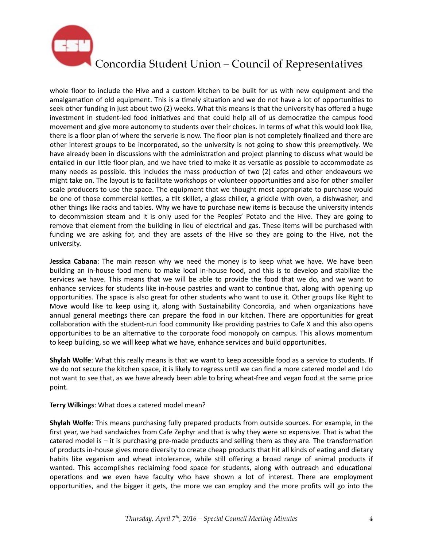

whole floor to include the Hive and a custom kitchen to be built for us with new equipment and the amalgamation of old equipment. This is a timely situation and we do not have a lot of opportunities to seek other funding in just about two (2) weeks. What this means is that the university has offered a huge investment in student-led food initiatives and that could help all of us democratize the campus food movement and give more autonomy to students over their choices. In terms of what this would look like, there is a floor plan of where the serverie is now. The floor plan is not completely finalized and there are other interest groups to be incorporated, so the university is not going to show this preemptively. We have already been in discussions with the administration and project planning to discuss what would be entailed in our little floor plan, and we have tried to make it as versatile as possible to accommodate as many needs as possible. this includes the mass production of two (2) cafes and other endeavours we might take on. The layout is to facilitate workshops or volunteer opportunities and also for other smaller scale producers to use the space. The equipment that we thought most appropriate to purchase would be one of those commercial kettles, a tilt skillet, a glass chiller, a griddle with oven, a dishwasher, and other things like racks and tables. Why we have to purchase new items is because the university intends to decommission steam and it is only used for the Peoples' Potato and the Hive. They are going to remove that element from the building in lieu of electrical and gas. These items will be purchased with funding we are asking for, and they are assets of the Hive so they are going to the Hive, not the university. 

**Jessica Cabana**: The main reason why we need the money is to keep what we have. We have been building an in-house food menu to make local in-house food, and this is to develop and stabilize the services we have. This means that we will be able to provide the food that we do, and we want to enhance services for students like in-house pastries and want to continue that, along with opening up opportunities. The space is also great for other students who want to use it. Other groups like Right to Move would like to keep using it, along with Sustainability Concordia, and when organizations have annual general meetings there can prepare the food in our kitchen. There are opportunities for great collaboration with the student-run food community like providing pastries to Cafe X and this also opens opportunities to be an alternative to the corporate food monopoly on campus. This allows momentum to keep building, so we will keep what we have, enhance services and build opportunities.

**Shylah Wolfe**: What this really means is that we want to keep accessible food as a service to students. If we do not secure the kitchen space, it is likely to regress until we can find a more catered model and I do not want to see that, as we have already been able to bring wheat-free and vegan food at the same price point. 

**Terry Wilkings:** What does a catered model mean?

**Shylah Wolfe**: This means purchasing fully prepared products from outside sources. For example, in the first year, we had sandwiches from Cafe Zephyr and that is why they were so expensive. That is what the catered model is  $-$  it is purchasing pre-made products and selling them as they are. The transformation of products in-house gives more diversity to create cheap products that hit all kinds of eating and dietary habits like veganism and wheat intolerance, while still offering a broad range of animal products if wanted. This accomplishes reclaiming food space for students, along with outreach and educational operations and we even have faculty who have shown a lot of interest. There are employment opportunities, and the bigger it gets, the more we can employ and the more profits will go into the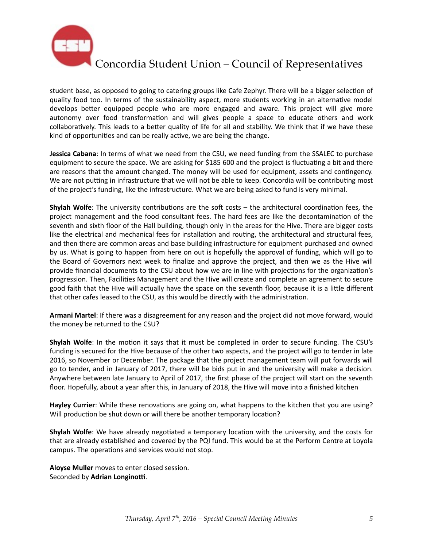

student base, as opposed to going to catering groups like Cafe Zephyr. There will be a bigger selection of quality food too. In terms of the sustainability aspect, more students working in an alternative model develops better equipped people who are more engaged and aware. This project will give more autonomy over food transformation and will gives people a space to educate others and work collaboratively. This leads to a better quality of life for all and stability. We think that if we have these kind of opportunities and can be really active, we are being the change.

**Jessica Cabana**: In terms of what we need from the CSU, we need funding from the SSALEC to purchase equipment to secure the space. We are asking for \$185 600 and the project is fluctuating a bit and there are reasons that the amount changed. The money will be used for equipment, assets and contingency. We are not putting in infrastructure that we will not be able to keep. Concordia will be contributing most of the project's funding, like the infrastructure. What we are being asked to fund is very minimal.

**Shylah Wolfe**: The university contributions are the soft costs – the architectural coordination fees, the project management and the food consultant fees. The hard fees are like the decontamination of the seventh and sixth floor of the Hall building, though only in the areas for the Hive. There are bigger costs like the electrical and mechanical fees for installation and routing, the architectural and structural fees, and then there are common areas and base building infrastructure for equipment purchased and owned by us. What is going to happen from here on out is hopefully the approval of funding, which will go to the Board of Governors next week to finalize and approve the project, and then we as the Hive will provide financial documents to the CSU about how we are in line with projections for the organization's progression. Then, Facilities Management and the Hive will create and complete an agreement to secure good faith that the Hive will actually have the space on the seventh floor, because it is a little different that other cafes leased to the CSU, as this would be directly with the administration.

Armani Martel: If there was a disagreement for any reason and the project did not move forward, would the money be returned to the CSU?

**Shylah Wolfe**: In the motion it says that it must be completed in order to secure funding. The CSU's funding is secured for the Hive because of the other two aspects, and the project will go to tender in late 2016, so November or December. The package that the project management team will put forwards will go to tender, and in January of 2017, there will be bids put in and the university will make a decision. Anywhere between late January to April of 2017, the first phase of the project will start on the seventh floor. Hopefully, about a year after this, in January of 2018, the Hive will move into a finished kitchen

Hayley Currier: While these renovations are going on, what happens to the kitchen that you are using? Will production be shut down or will there be another temporary location?

**Shylah Wolfe**: We have already negotiated a temporary location with the university, and the costs for that are already established and covered by the PQI fund. This would be at the Perform Centre at Loyola campus. The operations and services would not stop.

**Aloyse Muller** moves to enter closed session. Seconded by Adrian Longinotti.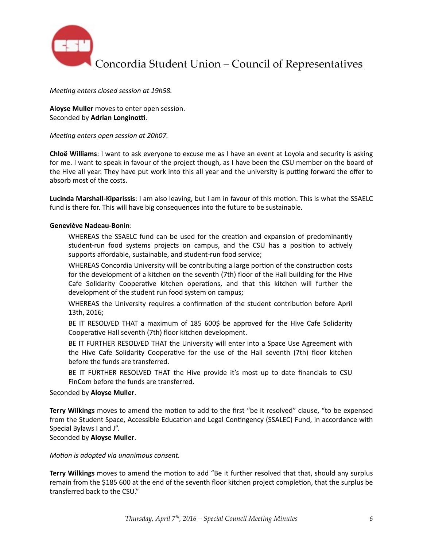

Concordia Student Union – Council of Representatives

*Meeting enters closed session at 19h58.* 

**Aloyse Muller** moves to enter open session. Seconded by Adrian Longinotti.

*Meeting enters open session at 20h07.* 

**Chloë Williams**: I want to ask everyone to excuse me as I have an event at Loyola and security is asking for me. I want to speak in favour of the project though, as I have been the CSU member on the board of the Hive all year. They have put work into this all year and the university is putting forward the offer to absorb most of the costs.

**Lucinda Marshall-Kiparissis**: I am also leaving, but I am in favour of this motion. This is what the SSAELC fund is there for. This will have big consequences into the future to be sustainable.

#### **Geneviève Nadeau-Bonin**:

WHEREAS the SSAELC fund can be used for the creation and expansion of predominantly student-run food systems projects on campus, and the CSU has a position to actively supports affordable, sustainable, and student-run food service;

WHEREAS Concordia University will be contributing a large portion of the construction costs for the development of a kitchen on the seventh (7th) floor of the Hall building for the Hive Cafe Solidarity Cooperative kitchen operations, and that this kitchen will further the development of the student run food system on campus;

WHEREAS the University requires a confirmation of the student contribution before April 13th, 2016;

BE IT RESOLVED THAT a maximum of 185 600\$ be approved for the Hive Cafe Solidarity Cooperative Hall seventh (7th) floor kitchen development.

BE IT FURTHER RESOLVED THAT the University will enter into a Space Use Agreement with the Hive Cafe Solidarity Cooperative for the use of the Hall seventh (7th) floor kitchen before the funds are transferred.

BE IT FURTHER RESOLVED THAT the Hive provide it's most up to date financials to CSU FinCom before the funds are transferred.

#### Seconded by **Aloyse Muller**.

**Terry Wilkings** moves to amend the motion to add to the first "be it resolved" clause, "to be expensed from the Student Space, Accessible Education and Legal Contingency (SSALEC) Fund, in accordance with Special Bylaws I and J".

Seconded by **Aloyse Muller**.

*Motion is adopted via unanimous consent.* 

**Terry Wilkings** moves to amend the motion to add "Be it further resolved that that, should any surplus remain from the \$185 600 at the end of the seventh floor kitchen project completion, that the surplus be transferred back to the CSU."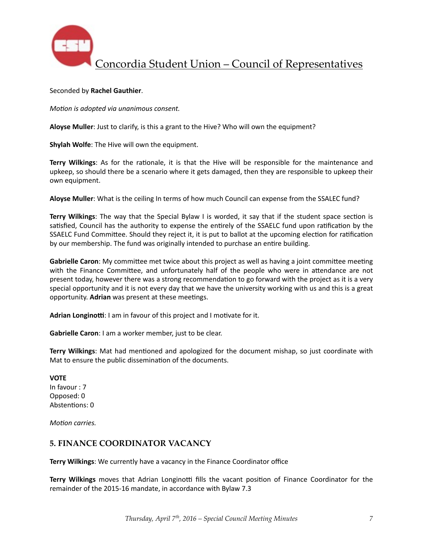

Concordia Student Union – Council of Representatives

#### Seconded by **Rachel Gauthier**.

*Motion is adopted via unanimous consent.* 

**Aloyse Muller**: Just to clarify, is this a grant to the Hive? Who will own the equipment?

**Shylah Wolfe:** The Hive will own the equipment.

**Terry Wilkings**: As for the rationale, it is that the Hive will be responsible for the maintenance and upkeep, so should there be a scenario where it gets damaged, then they are responsible to upkeep their own equipment.

Aloyse Muller: What is the ceiling In terms of how much Council can expense from the SSALEC fund?

**Terry Wilkings**: The way that the Special Bylaw I is worded, it say that if the student space section is satisfied, Council has the authority to expense the entirely of the SSAELC fund upon ratification by the SSAELC Fund Committee. Should they reject it, it is put to ballot at the upcoming election for ratification by our membership. The fund was originally intended to purchase an entire building.

**Gabrielle Caron**: My committee met twice about this project as well as having a joint committee meeting with the Finance Committee, and unfortunately half of the people who were in attendance are not present today, however there was a strong recommendation to go forward with the project as it is a very special opportunity and it is not every day that we have the university working with us and this is a great opportunity. Adrian was present at these meetings.

Adrian Longinotti: I am in favour of this project and I motivate for it.

**Gabrielle Caron**: I am a worker member, just to be clear.

**Terry Wilkings:** Mat had mentioned and apologized for the document mishap, so just coordinate with Mat to ensure the public dissemination of the documents.

#### **VOTE**

In favour : 7 Opposed: 0 Abstentions: 0

*Motion carries.* 

### **5. FINANCE COORDINATOR VACANCY**

**Terry Wilkings:** We currently have a vacancy in the Finance Coordinator office

**Terry Wilkings** moves that Adrian Longinotti fills the vacant position of Finance Coordinator for the remainder of the 2015-16 mandate, in accordance with Bylaw 7.3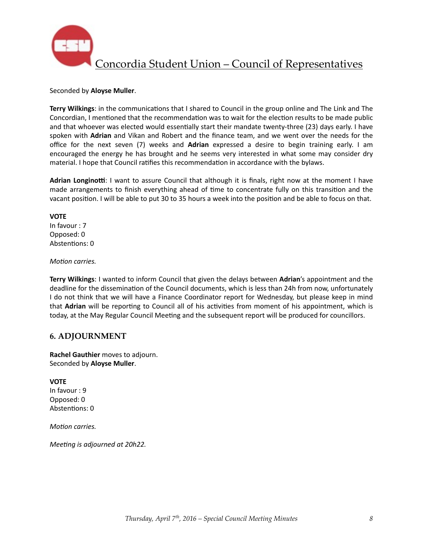

#### Seconded by **Aloyse Muller**.

**Terry Wilkings:** in the communications that I shared to Council in the group online and The Link and The Concordian, I mentioned that the recommendation was to wait for the election results to be made public and that whoever was elected would essentially start their mandate twenty-three (23) days early. I have spoken with **Adrian** and Vikan and Robert and the finance team, and we went over the needs for the office for the next seven (7) weeks and **Adrian** expressed a desire to begin training early. I am encouraged the energy he has brought and he seems very interested in what some may consider dry material. I hope that Council ratifies this recommendation in accordance with the bylaws.

**Adrian Longinotti:** I want to assure Council that although it is finals, right now at the moment I have made arrangements to finish everything ahead of time to concentrate fully on this transition and the vacant position. I will be able to put 30 to 35 hours a week into the position and be able to focus on that.

#### **VOTE**

In favour : 7 Opposed: 0 Abstentions: 0

#### *Motion carries.*

**Terry Wilkings**: I wanted to inform Council that given the delays between Adrian's appointment and the deadline for the dissemination of the Council documents, which is less than 24h from now, unfortunately I do not think that we will have a Finance Coordinator report for Wednesday, but please keep in mind that **Adrian** will be reporting to Council all of his activities from moment of his appointment, which is today, at the May Regular Council Meeting and the subsequent report will be produced for councillors.

### **6. ADJOURNMENT**

**Rachel Gauthier** moves to adjourn. Seconded by **Aloyse Muller**. 

### **VOTE**

In favour : 9 Opposed: 0 Abstentions: 0

*Motion carries.* 

*Meeting is adjourned at 20h22.*